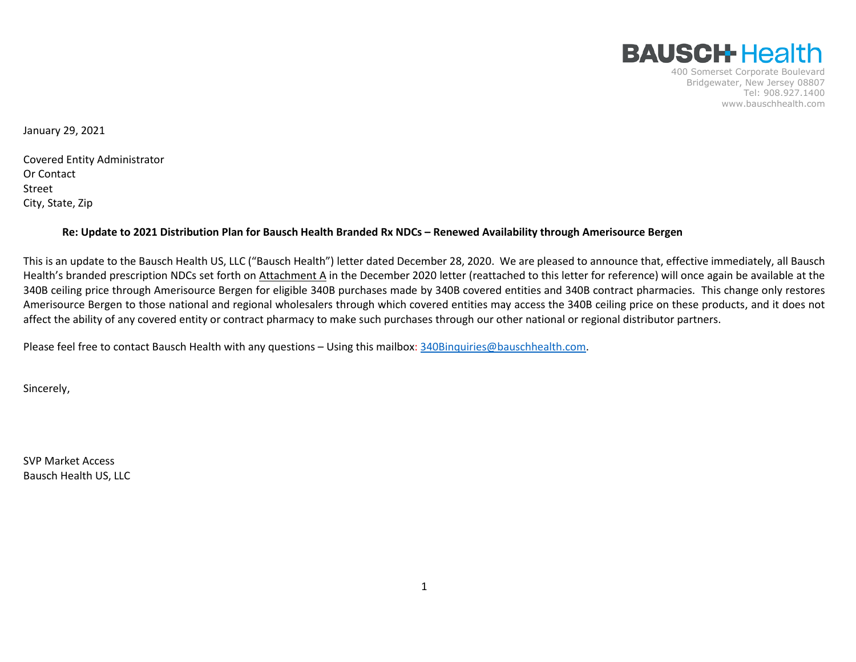

400 Somerset Corporate Boulevard Bridgewater, New Jersey 08807 Tel: 908.927.1400 www.bauschhealth.com

January 29, 2021

Covered Entity Administrator Or Contact Street City, State, Zip

#### **Re: Update to 2021 Distribution Plan for Bausch Health Branded Rx NDCs – Renewed Availability through Amerisource Bergen**

This is an update to the Bausch Health US, LLC ("Bausch Health") letter dated December 28, 2020. We are pleased to announce that, effective immediately, all Bausch Health's branded prescription NDCs set forth on Attachment A in the December 2020 letter (reattached to this letter for reference) will once again be available at the 340B ceiling price through Amerisource Bergen for eligible 340B purchases made by 340B covered entities and 340B contract pharmacies. This change only restores Amerisource Bergen to those national and regional wholesalers through which covered entities may access the 340B ceiling price on these products, and it does not affect the ability of any covered entity or contract pharmacy to make such purchases through our other national or regional distributor partners.

Please feel free to contact Bausch Health with any questions – Using this mailbox: [340Binquiries@bauschhealth.com.](mailto:340Binquiries@bauschhealth.com)

Sincerely,

SVP Market Access Bausch Health US, LLC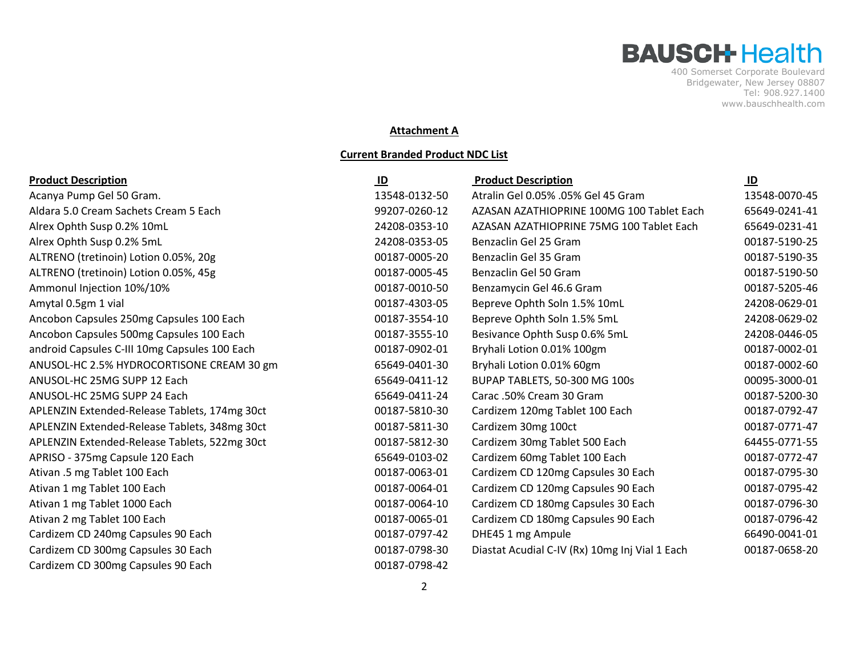400 Somerset Corporate Boulevard Bridgewater, New Jersey 08807 Tel: 908.927.1400 www.bauschhealth.com

#### **Attachment A**

#### **Current Branded Product NDC List**

| <b>Product Description</b>                    | $\mathbf{D}$  | <b>Product Description</b>                     | $\underline{\mathsf{ID}}$ |
|-----------------------------------------------|---------------|------------------------------------------------|---------------------------|
| Acanya Pump Gel 50 Gram.                      | 13548-0132-50 | Atralin Gel 0.05% .05% Gel 45 Gram             | 13548-0070-45             |
| Aldara 5.0 Cream Sachets Cream 5 Each         | 99207-0260-12 | AZASAN AZATHIOPRINE 100MG 100 Tablet Each      | 65649-0241-41             |
| Alrex Ophth Susp 0.2% 10mL                    | 24208-0353-10 | AZASAN AZATHIOPRINE 75MG 100 Tablet Each       | 65649-0231-41             |
| Alrex Ophth Susp 0.2% 5mL                     | 24208-0353-05 | Benzaclin Gel 25 Gram                          | 00187-5190-25             |
| ALTRENO (tretinoin) Lotion 0.05%, 20g         | 00187-0005-20 | Benzaclin Gel 35 Gram                          | 00187-5190-35             |
| ALTRENO (tretinoin) Lotion 0.05%, 45g         | 00187-0005-45 | Benzaclin Gel 50 Gram                          | 00187-5190-50             |
| Ammonul Injection 10%/10%                     | 00187-0010-50 | Benzamycin Gel 46.6 Gram                       | 00187-5205-46             |
| Amytal 0.5gm 1 vial                           | 00187-4303-05 | Bepreve Ophth Soln 1.5% 10mL                   | 24208-0629-01             |
| Ancobon Capsules 250mg Capsules 100 Each      | 00187-3554-10 | Bepreve Ophth Soln 1.5% 5mL                    | 24208-0629-02             |
| Ancobon Capsules 500mg Capsules 100 Each      | 00187-3555-10 | Besivance Ophth Susp 0.6% 5mL                  | 24208-0446-05             |
| android Capsules C-III 10mg Capsules 100 Each | 00187-0902-01 | Bryhali Lotion 0.01% 100gm                     | 00187-0002-01             |
| ANUSOL-HC 2.5% HYDROCORTISONE CREAM 30 gm     | 65649-0401-30 | Bryhali Lotion 0.01% 60gm                      | 00187-0002-60             |
| ANUSOL-HC 25MG SUPP 12 Each                   | 65649-0411-12 | BUPAP TABLETS, 50-300 MG 100s                  | 00095-3000-01             |
| ANUSOL-HC 25MG SUPP 24 Each                   | 65649-0411-24 | Carac .50% Cream 30 Gram                       | 00187-5200-30             |
| APLENZIN Extended-Release Tablets, 174mg 30ct | 00187-5810-30 | Cardizem 120mg Tablet 100 Each                 | 00187-0792-47             |
| APLENZIN Extended-Release Tablets, 348mg 30ct | 00187-5811-30 | Cardizem 30mg 100ct                            | 00187-0771-47             |
| APLENZIN Extended-Release Tablets, 522mg 30ct | 00187-5812-30 | Cardizem 30mg Tablet 500 Each                  | 64455-0771-55             |
| APRISO - 375mg Capsule 120 Each               | 65649-0103-02 | Cardizem 60mg Tablet 100 Each                  | 00187-0772-47             |
| Ativan .5 mg Tablet 100 Each                  | 00187-0063-01 | Cardizem CD 120mg Capsules 30 Each             | 00187-0795-30             |
| Ativan 1 mg Tablet 100 Each                   | 00187-0064-01 | Cardizem CD 120mg Capsules 90 Each             | 00187-0795-42             |
| Ativan 1 mg Tablet 1000 Each                  | 00187-0064-10 | Cardizem CD 180mg Capsules 30 Each             | 00187-0796-30             |
| Ativan 2 mg Tablet 100 Each                   | 00187-0065-01 | Cardizem CD 180mg Capsules 90 Each             | 00187-0796-42             |
| Cardizem CD 240mg Capsules 90 Each            | 00187-0797-42 | DHE45 1 mg Ampule                              | 66490-0041-01             |
| Cardizem CD 300mg Capsules 30 Each            | 00187-0798-30 | Diastat Acudial C-IV (Rx) 10mg Inj Vial 1 Each | 00187-0658-20             |
| Cardizem CD 300mg Capsules 90 Each            | 00187-0798-42 |                                                |                           |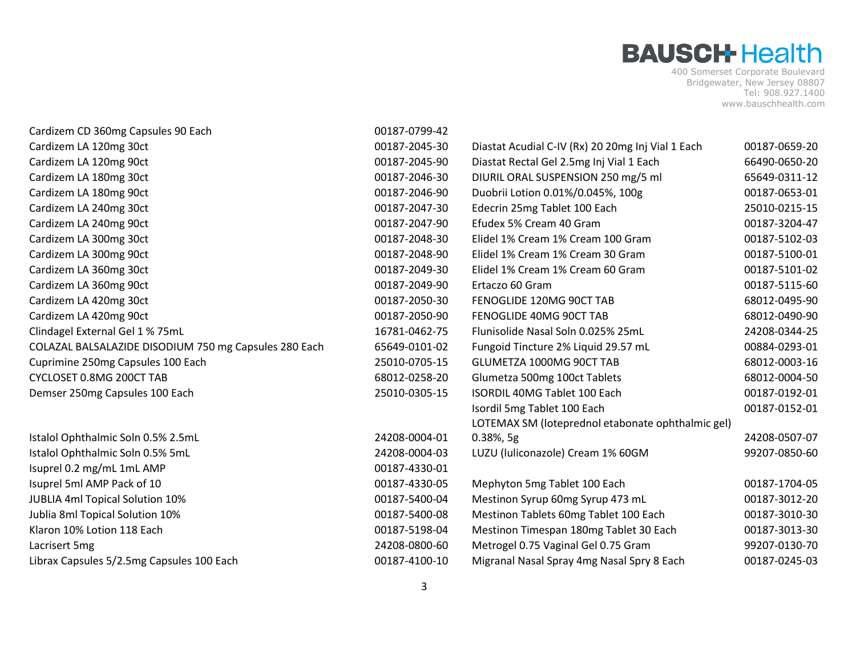| Cardizem CD 360mg Capsules 90 Each                    | 00187-0799-42 |                                                   |               |
|-------------------------------------------------------|---------------|---------------------------------------------------|---------------|
| Cardizem LA 120mg 30ct                                | 00187-2045-30 | Diastat Acudial C-IV (Rx) 20 20mg Inj Vial 1 Each | 00187-0659-20 |
| Cardizem LA 120mg 90ct                                | 00187-2045-90 | Diastat Rectal Gel 2.5mg Inj Vial 1 Each          | 66490-0650-20 |
| Cardizem LA 180mg 30ct                                | 00187-2046-30 | DIURIL ORAL SUSPENSION 250 mg/5 ml                | 65649-0311-12 |
| Cardizem LA 180mg 90ct                                | 00187-2046-90 | Duobrii Lotion 0.01%/0.045%, 100g                 | 00187-0653-01 |
| Cardizem LA 240mg 30ct                                | 00187-2047-30 | Edecrin 25mg Tablet 100 Each                      | 25010-0215-15 |
| Cardizem LA 240mg 90ct                                | 00187-2047-90 | Efudex 5% Cream 40 Gram                           | 00187-3204-47 |
| Cardizem LA 300mg 30ct                                | 00187-2048-30 | Elidel 1% Cream 1% Cream 100 Gram                 | 00187-5102-03 |
| Cardizem LA 300mg 90ct                                | 00187-2048-90 | Elidel 1% Cream 1% Cream 30 Gram                  | 00187-5100-01 |
| Cardizem LA 360mg 30ct                                | 00187-2049-30 | Elidel 1% Cream 1% Cream 60 Gram                  | 00187-5101-02 |
| Cardizem LA 360mg 90ct                                | 00187-2049-90 | Ertaczo 60 Gram                                   | 00187-5115-60 |
| Cardizem LA 420mg 30ct                                | 00187-2050-30 | FENOGLIDE 120MG 90CT TAB                          | 68012-0495-90 |
| Cardizem LA 420mg 90ct                                | 00187-2050-90 | FENOGLIDE 40MG 90CT TAB                           | 68012-0490-90 |
| Clindagel External Gel 1 % 75mL                       | 16781-0462-75 | Flunisolide Nasal Soln 0.025% 25mL                | 24208-0344-25 |
| COLAZAL BALSALAZIDE DISODIUM 750 mg Capsules 280 Each | 65649-0101-02 | Fungoid Tincture 2% Liquid 29.57 mL               | 00884-0293-01 |
| Cuprimine 250mg Capsules 100 Each                     | 25010-0705-15 | GLUMETZA 1000MG 90CT TAB                          | 68012-0003-16 |
| CYCLOSET 0.8MG 200CT TAB                              | 68012-0258-20 | Glumetza 500mg 100ct Tablets                      | 68012-0004-50 |
| Demser 250mg Capsules 100 Each                        | 25010-0305-15 | ISORDIL 40MG Tablet 100 Each                      | 00187-0192-01 |
|                                                       |               | Isordil 5mg Tablet 100 Each                       | 00187-0152-01 |
|                                                       |               | LOTEMAX SM (loteprednol etabonate ophthalmic gel) |               |
| Istalol Ophthalmic Soln 0.5% 2.5mL                    | 24208-0004-01 | $0.38%$ , 5g                                      | 24208-0507-07 |
| Istalol Ophthalmic Soln 0.5% 5mL                      | 24208-0004-03 | LUZU (luliconazole) Cream 1% 60GM                 | 99207-0850-60 |
| Isuprel 0.2 mg/mL 1mL AMP                             | 00187-4330-01 |                                                   |               |
| Isuprel 5ml AMP Pack of 10                            | 00187-4330-05 | Mephyton 5mg Tablet 100 Each                      | 00187-1704-05 |
| <b>JUBLIA 4ml Topical Solution 10%</b>                | 00187-5400-04 | Mestinon Syrup 60mg Syrup 473 mL                  | 00187-3012-20 |
| Jublia 8ml Topical Solution 10%                       | 00187-5400-08 | Mestinon Tablets 60mg Tablet 100 Each             | 00187-3010-30 |
| Klaron 10% Lotion 118 Each                            | 00187-5198-04 | Mestinon Timespan 180mg Tablet 30 Each            | 00187-3013-30 |
| Lacrisert 5mg                                         | 24208-0800-60 | Metrogel 0.75 Vaginal Gel 0.75 Gram               | 99207-0130-70 |
| Librax Capsules 5/2.5mg Capsules 100 Each             | 00187-4100-10 | Migranal Nasal Spray 4mg Nasal Spry 8 Each        | 00187-0245-03 |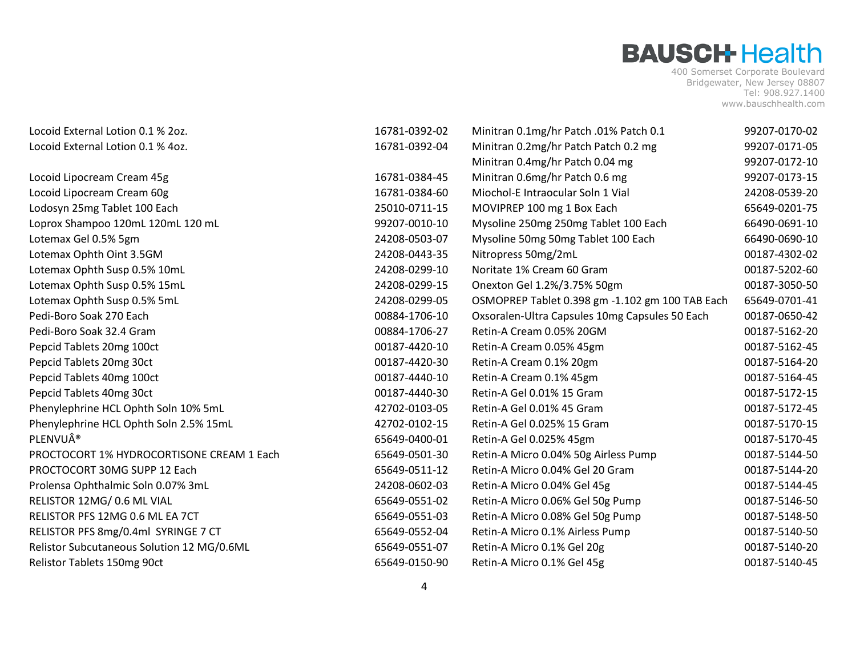| Locoid External Lotion 0.1 % 2oz.          | 16781-0392-02 | Minitran 0.1mg/hr Patch .01% Patch 0.1          | 99207-0170-02 |
|--------------------------------------------|---------------|-------------------------------------------------|---------------|
| Locoid External Lotion 0.1 % 4oz.          | 16781-0392-04 | Minitran 0.2mg/hr Patch Patch 0.2 mg            | 99207-0171-05 |
|                                            |               | Minitran 0.4mg/hr Patch 0.04 mg                 | 99207-0172-10 |
| Locoid Lipocream Cream 45g                 | 16781-0384-45 | Minitran 0.6mg/hr Patch 0.6 mg                  | 99207-0173-15 |
| Locoid Lipocream Cream 60g                 | 16781-0384-60 | Miochol-E Intraocular Soln 1 Vial               | 24208-0539-20 |
| Lodosyn 25mg Tablet 100 Each               | 25010-0711-15 | MOVIPREP 100 mg 1 Box Each                      | 65649-0201-75 |
| Loprox Shampoo 120mL 120mL 120 mL          | 99207-0010-10 | Mysoline 250mg 250mg Tablet 100 Each            | 66490-0691-10 |
| Lotemax Gel 0.5% 5gm                       | 24208-0503-07 | Mysoline 50mg 50mg Tablet 100 Each              | 66490-0690-10 |
| Lotemax Ophth Oint 3.5GM                   | 24208-0443-35 | Nitropress 50mg/2mL                             | 00187-4302-02 |
| Lotemax Ophth Susp 0.5% 10mL               | 24208-0299-10 | Noritate 1% Cream 60 Gram                       | 00187-5202-60 |
| Lotemax Ophth Susp 0.5% 15mL               | 24208-0299-15 | Onexton Gel 1.2%/3.75% 50gm                     | 00187-3050-50 |
| Lotemax Ophth Susp 0.5% 5mL                | 24208-0299-05 | OSMOPREP Tablet 0.398 gm -1.102 gm 100 TAB Each | 65649-0701-41 |
| Pedi-Boro Soak 270 Each                    | 00884-1706-10 | Oxsoralen-Ultra Capsules 10mg Capsules 50 Each  | 00187-0650-42 |
| Pedi-Boro Soak 32.4 Gram                   | 00884-1706-27 | Retin-A Cream 0.05% 20GM                        | 00187-5162-20 |
| Pepcid Tablets 20mg 100ct                  | 00187-4420-10 | Retin-A Cream 0.05% 45gm                        | 00187-5162-45 |
| Pepcid Tablets 20mg 30ct                   | 00187-4420-30 | Retin-A Cream 0.1% 20gm                         | 00187-5164-20 |
| Pepcid Tablets 40mg 100ct                  | 00187-4440-10 | Retin-A Cream 0.1% 45gm                         | 00187-5164-45 |
| Pepcid Tablets 40mg 30ct                   | 00187-4440-30 | Retin-A Gel 0.01% 15 Gram                       | 00187-5172-15 |
| Phenylephrine HCL Ophth Soln 10% 5mL       | 42702-0103-05 | Retin-A Gel 0.01% 45 Gram                       | 00187-5172-45 |
| Phenylephrine HCL Ophth Soln 2.5% 15mL     | 42702-0102-15 | Retin-A Gel 0.025% 15 Gram                      | 00187-5170-15 |
| PLENVU®                                    | 65649-0400-01 | Retin-A Gel 0.025% 45gm                         | 00187-5170-45 |
| PROCTOCORT 1% HYDROCORTISONE CREAM 1 Each  | 65649-0501-30 | Retin-A Micro 0.04% 50g Airless Pump            | 00187-5144-50 |
| PROCTOCORT 30MG SUPP 12 Each               | 65649-0511-12 | Retin-A Micro 0.04% Gel 20 Gram                 | 00187-5144-20 |
| Prolensa Ophthalmic Soln 0.07% 3mL         | 24208-0602-03 | Retin-A Micro 0.04% Gel 45g                     | 00187-5144-45 |
| RELISTOR 12MG/ 0.6 ML VIAL                 | 65649-0551-02 | Retin-A Micro 0.06% Gel 50g Pump                | 00187-5146-50 |
| RELISTOR PFS 12MG 0.6 ML EA 7CT            | 65649-0551-03 | Retin-A Micro 0.08% Gel 50g Pump                | 00187-5148-50 |
| RELISTOR PFS 8mg/0.4ml SYRINGE 7 CT        | 65649-0552-04 | Retin-A Micro 0.1% Airless Pump                 | 00187-5140-50 |
| Relistor Subcutaneous Solution 12 MG/0.6ML | 65649-0551-07 | Retin-A Micro 0.1% Gel 20g                      | 00187-5140-20 |
| Relistor Tablets 150mg 90ct                | 65649-0150-90 | Retin-A Micro 0.1% Gel 45g                      | 00187-5140-45 |
|                                            |               |                                                 |               |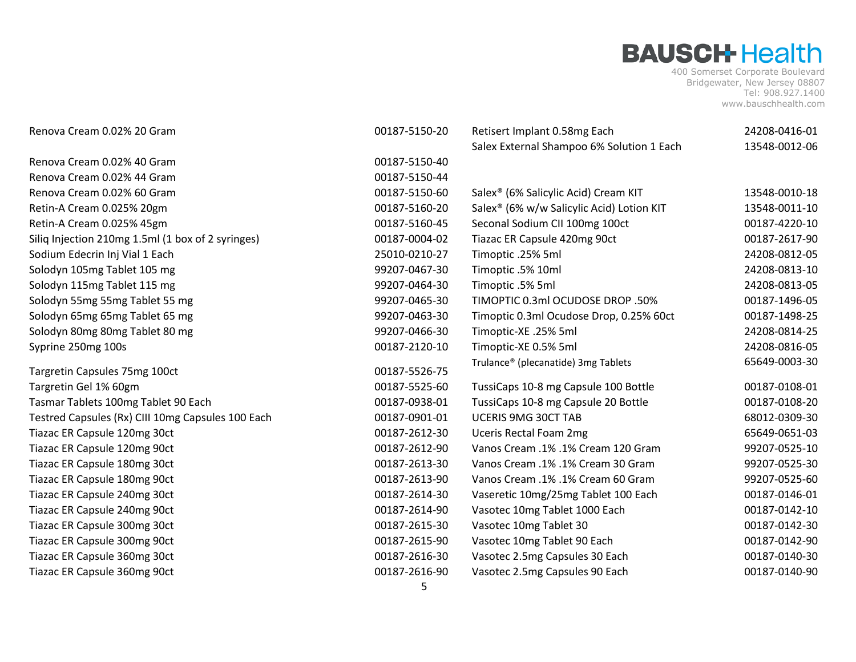| Renova Cream 0.02% 20 Gram                        | 00187-5150-20 | Retisert Implant 0.58mg Each                          | 24208-0416-01                  |
|---------------------------------------------------|---------------|-------------------------------------------------------|--------------------------------|
|                                                   |               | Salex External Shampoo 6% Solution 1 Each             | 13548-0012-06                  |
| Renova Cream 0.02% 40 Gram                        | 00187-5150-40 |                                                       |                                |
| Renova Cream 0.02% 44 Gram                        | 00187-5150-44 |                                                       |                                |
| Renova Cream 0.02% 60 Gram                        | 00187-5150-60 | Salex <sup>®</sup> (6% Salicylic Acid) Cream KIT      | 13548-0010-18                  |
| Retin-A Cream 0.025% 20gm                         | 00187-5160-20 | Salex <sup>®</sup> (6% w/w Salicylic Acid) Lotion KIT | 13548-0011-10                  |
| Retin-A Cream 0.025% 45gm                         | 00187-5160-45 | Seconal Sodium CII 100mg 100ct                        | 00187-4220-10                  |
| Siliq Injection 210mg 1.5ml (1 box of 2 syringes) | 00187-0004-02 | Tiazac ER Capsule 420mg 90ct                          | 00187-2617-90                  |
| Sodium Edecrin Inj Vial 1 Each                    | 25010-0210-27 | Timoptic .25% 5ml                                     | 24208-0812-05                  |
| Solodyn 105mg Tablet 105 mg                       | 99207-0467-30 | Timoptic .5% 10ml                                     | 24208-0813-10                  |
| Solodyn 115mg Tablet 115 mg                       | 99207-0464-30 | Timoptic .5% 5ml                                      | 24208-0813-05                  |
| Solodyn 55mg 55mg Tablet 55 mg                    | 99207-0465-30 | TIMOPTIC 0.3ml OCUDOSE DROP .50%                      | 00187-1496-05                  |
| Solodyn 65mg 65mg Tablet 65 mg                    | 99207-0463-30 | Timoptic 0.3ml Ocudose Drop, 0.25% 60ct               | 00187-1498-25                  |
| Solodyn 80mg 80mg Tablet 80 mg                    | 99207-0466-30 | Timoptic-XE .25% 5ml                                  | 24208-0814-25                  |
| Syprine 250mg 100s                                | 00187-2120-10 | Timoptic-XE 0.5% 5ml                                  | 24208-0816-05                  |
|                                                   | 00187-5526-75 | Trulance® (plecanatide) 3mg Tablets                   | 65649-0003-30                  |
| Targretin Capsules 75mg 100ct                     |               |                                                       |                                |
| Targretin Gel 1% 60gm                             | 00187-5525-60 | TussiCaps 10-8 mg Capsule 100 Bottle                  | 00187-0108-01<br>00187-0108-20 |
| Tasmar Tablets 100mg Tablet 90 Each               | 00187-0938-01 | TussiCaps 10-8 mg Capsule 20 Bottle                   |                                |
| Testred Capsules (Rx) CIII 10mg Capsules 100 Each | 00187-0901-01 | UCERIS 9MG 30CT TAB                                   | 68012-0309-30                  |
| Tiazac ER Capsule 120mg 30ct                      | 00187-2612-30 | <b>Uceris Rectal Foam 2mg</b>                         | 65649-0651-03                  |
| Tiazac ER Capsule 120mg 90ct                      | 00187-2612-90 | Vanos Cream .1% .1% Cream 120 Gram                    | 99207-0525-10                  |
| Tiazac ER Capsule 180mg 30ct                      | 00187-2613-30 | Vanos Cream .1% .1% Cream 30 Gram                     | 99207-0525-30                  |
| Tiazac ER Capsule 180mg 90ct                      | 00187-2613-90 | Vanos Cream .1% .1% Cream 60 Gram                     | 99207-0525-60                  |
| Tiazac ER Capsule 240mg 30ct                      | 00187-2614-30 | Vaseretic 10mg/25mg Tablet 100 Each                   | 00187-0146-01                  |
| Tiazac ER Capsule 240mg 90ct                      | 00187-2614-90 | Vasotec 10mg Tablet 1000 Each                         | 00187-0142-10                  |
| Tiazac ER Capsule 300mg 30ct                      | 00187-2615-30 | Vasotec 10mg Tablet 30                                | 00187-0142-30                  |
| Tiazac ER Capsule 300mg 90ct                      | 00187-2615-90 | Vasotec 10mg Tablet 90 Each                           | 00187-0142-90                  |
| Tiazac ER Capsule 360mg 30ct                      | 00187-2616-30 | Vasotec 2.5mg Capsules 30 Each                        | 00187-0140-30                  |
| Tiazac ER Capsule 360mg 90ct                      | 00187-2616-90 | Vasotec 2.5mg Capsules 90 Each                        | 00187-0140-90                  |